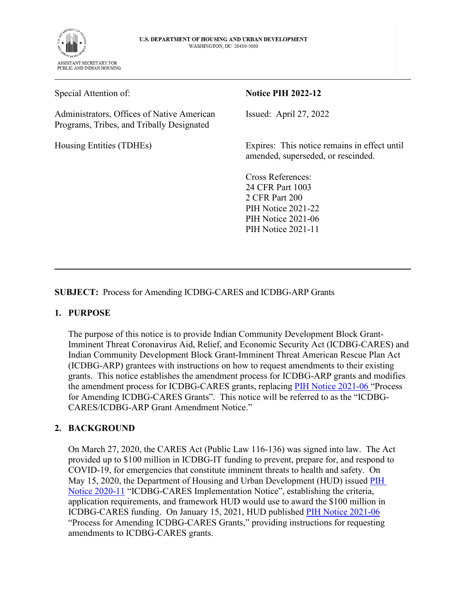

Special Attention of:

Administrators, Offices of Native American Programs, Tribes, and Tribally Designated

Housing Entities (TDHEs)

#### **Notice PIH 2022-12**

Issued: April 27, 2022

Expires: This notice remains in effect until amended, superseded, or rescinded.

Cross References: 24 CFR Part 1003 2 CFR Part 200 PIH Notice 2021-22 PIH Notice 2021-06 PIH Notice 2021-11

**SUBJECT:** Process for Amending ICDBG-CARES and ICDBG-ARP Grants

### **1. PURPOSE**

The purpose of this notice is to provide Indian Community Development Block Grant-Imminent Threat Coronavirus Aid, Relief, and Economic Security Act (ICDBG-CARES) and Indian Community Development Block Grant-Imminent Threat American Rescue Plan Act (ICDBG-ARP) grantees with instructions on how to request amendments to their existing grants. This notice establishes the amendment process for ICDBG-ARP grants and modifies the amendment process for ICDBG-CARES grants, replacing [PIH Notice 2021-06](https://www.hud.gov/sites/dfiles/PIH/documents/pih2021-06.pdf) "Process for Amending ICDBG-CARES Grants". This notice will be referred to as the "ICDBG-CARES/ICDBG-ARP Grant Amendment Notice."

### **2. BACKGROUND**

On March 27, 2020, the CARES Act (Public Law 116-136) was signed into law. The Act provided up to \$100 million in ICDBG-IT funding to prevent, prepare for, and respond to COVID-19, for emergencies that constitute imminent threats to health and safety. On May 15, 2020, the Department of Housing and Urban Development (HUD) issued **PIH** [Notice 2020-11](https://www.hud.gov/sites/dfiles/OCHCO/documents/2020-11pihn.pdf) "ICDBG-CARES Implementation Notice", establishing the criteria, application requirements, and framework HUD would use to award the \$100 million in ICDBG-CARES funding. On January 15, 2021, HUD published [PIH Notice 2021-06](https://www.hud.gov/sites/dfiles/PIH/documents/pih2021-06.pdf) "Process for Amending ICDBG-CARES Grants," providing instructions for requesting amendments to ICDBG-CARES grants.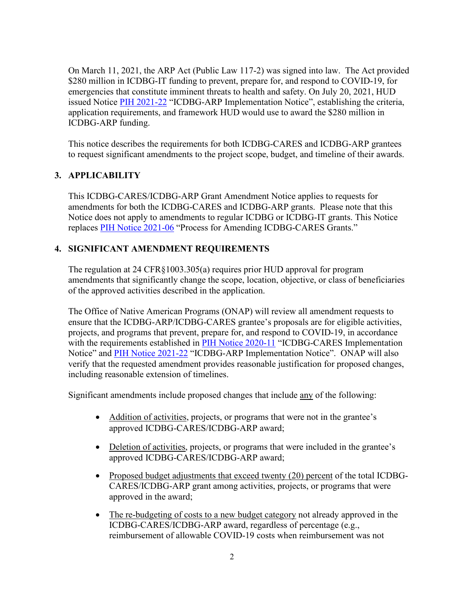On March 11, 2021, the ARP Act (Public Law 117-2) was signed into law. The Act provided \$280 million in ICDBG-IT funding to prevent, prepare for, and respond to COVID-19, for emergencies that constitute imminent threats to health and safety. On July 20, 2021, HUD issued Notice [PIH 2021-22](https://www.hud.gov/sites/dfiles/PIH/documents/PIH2021-22.pdf) "ICDBG-ARP Implementation Notice", establishing the criteria, application requirements, and framework HUD would use to award the \$280 million in ICDBG-ARP funding.

This notice describes the requirements for both ICDBG-CARES and ICDBG-ARP grantees to request significant amendments to the project scope, budget, and timeline of their awards.

# **3. APPLICABILITY**

This ICDBG-CARES/ICDBG-ARP Grant Amendment Notice applies to requests for amendments for both the ICDBG-CARES and ICDBG-ARP grants. Please note that this Notice does not apply to amendments to regular ICDBG or ICDBG-IT grants. This Notice replaces [PIH Notice 2021-06](https://www.hud.gov/sites/dfiles/PIH/documents/pih2021-06.pdf) "Process for Amending ICDBG-CARES Grants."

## **4. SIGNIFICANT AMENDMENT REQUIREMENTS**

The regulation at 24 CFR§1003.305(a) requires prior HUD approval for program amendments that significantly change the scope, location, objective, or class of beneficiaries of the approved activities described in the application.

The Office of Native American Programs (ONAP) will review all amendment requests to ensure that the ICDBG-ARP/ICDBG-CARES grantee's proposals are for eligible activities, projects, and programs that prevent, prepare for, and respond to COVID-19, in accordance with the requirements established in [PIH Notice 2020-11](https://www.hud.gov/sites/dfiles/OCHCO/documents/2020-11pihn.pdf) "ICDBG-CARES Implementation Notice" and [PIH Notice 2021-22](https://www.hud.gov/sites/dfiles/PIH/documents/PIH2021-22.pdf) "ICDBG-ARP Implementation Notice". ONAP will also verify that the requested amendment provides reasonable justification for proposed changes, including reasonable extension of timelines.

Significant amendments include proposed changes that include any of the following:

- Addition of activities, projects, or programs that were not in the grantee's approved ICDBG-CARES/ICDBG-ARP award;
- Deletion of activities, projects, or programs that were included in the grantee's approved ICDBG-CARES/ICDBG-ARP award;
- Proposed budget adjustments that exceed twenty (20) percent of the total ICDBG-CARES/ICDBG-ARP grant among activities, projects, or programs that were approved in the award;
- The re-budgeting of costs to a new budget category not already approved in the ICDBG-CARES/ICDBG-ARP award, regardless of percentage (e.g., reimbursement of allowable COVID-19 costs when reimbursement was not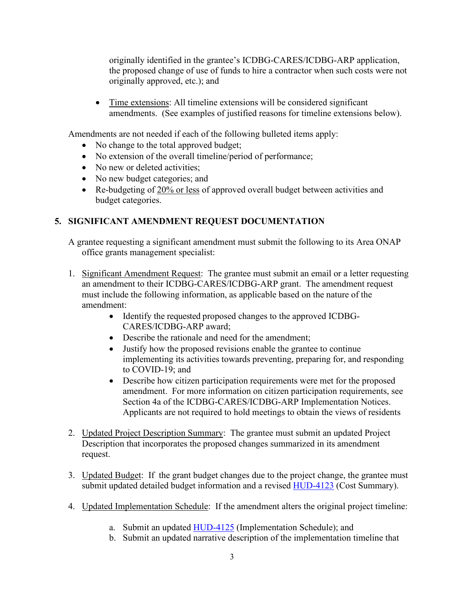originally identified in the grantee's ICDBG-CARES/ICDBG-ARP application, the proposed change of use of funds to hire a contractor when such costs were not originally approved, etc.); and

• Time extensions: All timeline extensions will be considered significant amendments. (See examples of justified reasons for timeline extensions below).

Amendments are not needed if each of the following bulleted items apply:

- No change to the total approved budget;
- No extension of the overall timeline/period of performance;
- No new or deleted activities;
- No new budget categories; and
- Re-budgeting of 20% or less of approved overall budget between activities and budget categories.

# **5. SIGNIFICANT AMENDMENT REQUEST DOCUMENTATION**

A grantee requesting a significant amendment must submit the following to its Area ONAP office grants management specialist:

- 1. Significant Amendment Request: The grantee must submit an email or a letter requesting an amendment to their ICDBG-CARES/ICDBG-ARP grant. The amendment request must include the following information, as applicable based on the nature of the amendment:
	- Identify the requested proposed changes to the approved ICDBG-CARES/ICDBG-ARP award;
	- Describe the rationale and need for the amendment;
	- Justify how the proposed revisions enable the grantee to continue implementing its activities towards preventing, preparing for, and responding to COVID-19; and
	- Describe how citizen participation requirements were met for the proposed amendment. For more information on citizen participation requirements, see Section 4a of the ICDBG-CARES/ICDBG-ARP Implementation Notices. Applicants are not required to hold meetings to obtain the views of residents
- 2. Updated Project Description Summary: The grantee must submit an updated Project Description that incorporates the proposed changes summarized in its amendment request.
- 3. Updated Budget: If the grant budget changes due to the project change, the grantee must submit updated detailed budget information and a revised [HUD-4123 \(](https://www.hud.gov/sites/dfiles/OCHCO/documents/HUD-4123.pdf)Cost Summary).
- 4. Updated Implementation Schedule: If the amendment alters the original project timeline:
	- a. Submit an updated [HUD-4125 \(](https://www.hud.gov/sites/dfiles/OCHCO/documents/HUD-4125.pdf)Implementation Schedule); and
	- b. Submit an updated narrative description of the implementation timeline that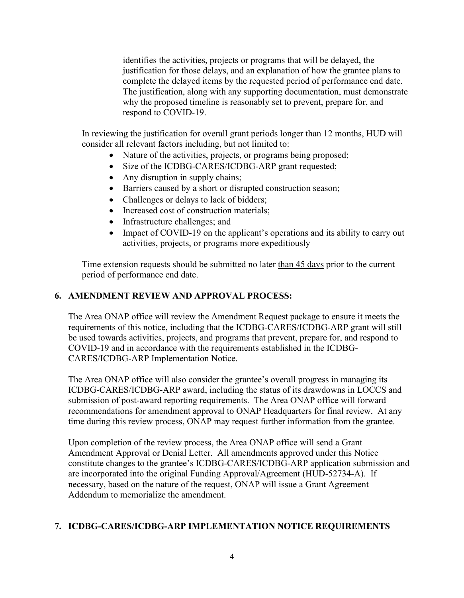identifies the activities, projects or programs that will be delayed, the justification for those delays, and an explanation of how the grantee plans to complete the delayed items by the requested period of performance end date. The justification, along with any supporting documentation, must demonstrate why the proposed timeline is reasonably set to prevent, prepare for, and respond to COVID-19.

In reviewing the justification for overall grant periods longer than 12 months, HUD will consider all relevant factors including, but not limited to:

- Nature of the activities, projects, or programs being proposed;
- Size of the ICDBG-CARES/ICDBG-ARP grant requested;
- Any disruption in supply chains;
- Barriers caused by a short or disrupted construction season;
- Challenges or delays to lack of bidders;
- Increased cost of construction materials:
- Infrastructure challenges; and
- Impact of COVID-19 on the applicant's operations and its ability to carry out activities, projects, or programs more expeditiously

Time extension requests should be submitted no later than 45 days prior to the current period of performance end date.

#### **6. AMENDMENT REVIEW AND APPROVAL PROCESS:**

The Area ONAP office will review the Amendment Request package to ensure it meets the requirements of this notice, including that the ICDBG-CARES/ICDBG-ARP grant will still be used towards activities, projects, and programs that prevent, prepare for, and respond to COVID-19 and in accordance with the requirements established in the ICDBG-CARES/ICDBG-ARP Implementation Notice.

The Area ONAP office will also consider the grantee's overall progress in managing its ICDBG-CARES/ICDBG-ARP award, including the status of its drawdowns in LOCCS and submission of post-award reporting requirements. The Area ONAP office will forward recommendations for amendment approval to ONAP Headquarters for final review. At any time during this review process, ONAP may request further information from the grantee.

Upon completion of the review process, the Area ONAP office will send a Grant Amendment Approval or Denial Letter. All amendments approved under this Notice constitute changes to the grantee's ICDBG-CARES/ICDBG-ARP application submission and are incorporated into the original Funding Approval/Agreement (HUD-52734-A). If necessary, based on the nature of the request, ONAP will issue a Grant Agreement Addendum to memorialize the amendment.

### **7. ICDBG-CARES/ICDBG-ARP IMPLEMENTATION NOTICE REQUIREMENTS**